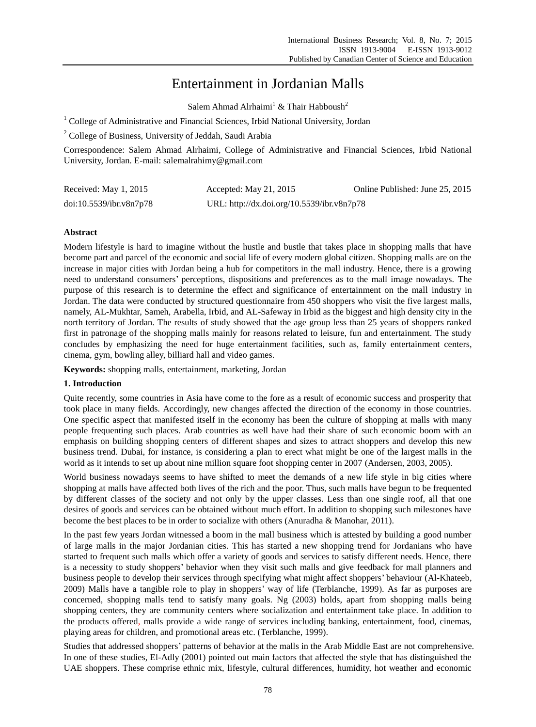# Entertainment in Jordanian Malls

Salem Ahmad Alrhaimi<sup>1</sup> & Thair Habboush<sup>2</sup>

<sup>1</sup> College of Administrative and Financial Sciences, Irbid National University, Jordan

<sup>2</sup> College of Business, University of Jeddah, Saudi Arabia

Correspondence: Salem Ahmad Alrhaimi, College of Administrative and Financial Sciences, Irbid National University, Jordan. E-mail: salemalrahimy@gmail.com

| Received: May 1, 2015   | Accepted: May 21, 2015                     | Online Published: June 25, 2015 |
|-------------------------|--------------------------------------------|---------------------------------|
| doi:10.5539/ibr.v8n7p78 | URL: http://dx.doi.org/10.5539/ibr.v8n7p78 |                                 |

# **Abstract**

Modern lifestyle is hard to imagine without the hustle and bustle that takes place in shopping malls that have become part and parcel of the economic and social life of every modern global citizen. Shopping malls are on the increase in major cities with Jordan being a hub for competitors in the mall industry. Hence, there is a growing need to understand consumers" perceptions, dispositions and preferences as to the mall image nowadays. The purpose of this research is to determine the effect and significance of entertainment on the mall industry in Jordan. The data were conducted by structured questionnaire from 450 shoppers who visit the five largest malls, namely, AL-Mukhtar, Sameh, Arabella, Irbid, and AL-Safeway in Irbid as the biggest and high density city in the north territory of Jordan. The results of study showed that the age group less than 25 years of shoppers ranked first in patronage of the shopping malls mainly for reasons related to leisure, fun and entertainment. The study concludes by emphasizing the need for huge entertainment facilities, such as, family entertainment centers, cinema, gym, bowling alley, billiard hall and video games.

**Keywords:** shopping malls, entertainment, marketing, Jordan

## **1. Introduction**

Quite recently, some countries in Asia have come to the fore as a result of economic success and prosperity that took place in many fields. Accordingly, new changes affected the direction of the economy in those countries. One specific aspect that manifested itself in the economy has been the culture of shopping at malls with many people frequenting such places. Arab countries as well have had their share of such economic boom with an emphasis on building shopping centers of different shapes and sizes to attract shoppers and develop this new business trend. Dubai, for instance, is considering a plan to erect what might be one of the largest malls in the world as it intends to set up about nine million square foot shopping center in 2007 (Andersen, 2003, 2005).

World business nowadays seems to have shifted to meet the demands of a new life style in big cities where shopping at malls have affected both lives of the rich and the poor. Thus, such malls have begun to be frequented by different classes of the society and not only by the upper classes. Less than one single roof, all that one desires of goods and services can be obtained without much effort. In addition to shopping such milestones have become the best places to be in order to socialize with others (Anuradha & Manohar, 2011).

In the past few years Jordan witnessed a boom in the mall business which is attested by building a good number of large malls in the major Jordanian cities. This has started a new shopping trend for Jordanians who have started to frequent such malls which offer a variety of goods and services to satisfy different needs. Hence, there is a necessity to study shoppers" behavior when they visit such malls and give feedback for mall planners and business people to develop their services through specifying what might affect shoppers" behaviour (Al-Khateeb, 2009) Malls have a tangible role to play in shoppers' way of life (Terblanche, 1999). As far as purposes are concerned, shopping malls tend to satisfy many goals. Ng (2003) holds, apart from shopping malls being shopping centers, they are community centers where socialization and entertainment take place. In addition to the products offered, malls provide a wide range of services including banking, entertainment, food, cinemas, playing areas for children, and promotional areas etc. (Terblanche, 1999).

Studies that addressed shoppers" patterns of behavior at the malls in the Arab Middle East are not comprehensive. In one of these studies, El-Adly (2001) pointed out main factors that affected the style that has distinguished the UAE shoppers. These comprise ethnic mix, lifestyle, cultural differences, humidity, hot weather and economic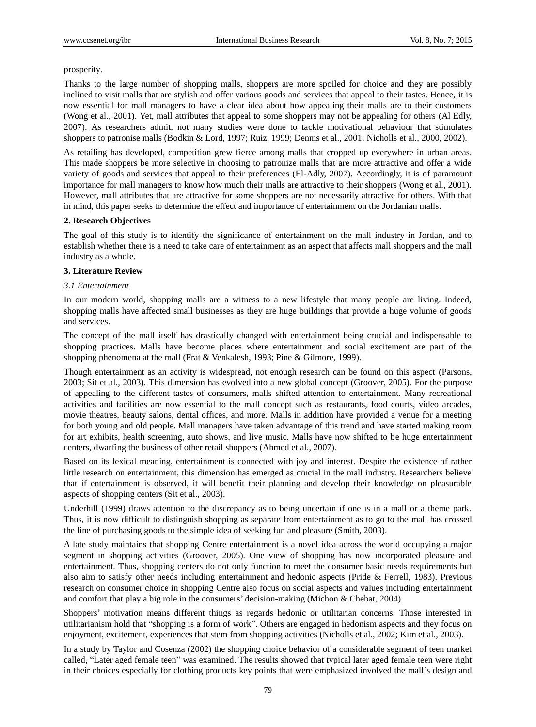### prosperity.

Thanks to the large number of shopping malls, shoppers are more spoiled for choice and they are possibly inclined to visit malls that are stylish and offer various goods and services that appeal to their tastes. Hence, it is now essential for mall managers to have a clear idea about how appealing their malls are to their customers (Wong et al., 2001**)**. Yet, mall attributes that appeal to some shoppers may not be appealing for others (Al Edly, 2007). As researchers admit, not many studies were done to tackle motivational behaviour that stimulates shoppers to patronise malls (Bodkin & Lord, 1997; Ruiz, 1999; Dennis et al., 2001; Nicholls et al., 2000, 2002).

As retailing has developed, competition grew fierce among malls that cropped up everywhere in urban areas. This made shoppers be more selective in choosing to patronize malls that are more attractive and offer a wide variety of goods and services that appeal to their preferences (El-Adly, 2007). Accordingly, it is of paramount importance for mall managers to know how much their malls are attractive to their shoppers (Wong et al., 2001). However, mall attributes that are attractive for some shoppers are not necessarily attractive for others. With that in mind, this paper seeks to determine the effect and importance of entertainment on the Jordanian malls.

### **2. Research Objectives**

The goal of this study is to identify the significance of entertainment on the mall industry in Jordan, and to establish whether there is a need to take care of entertainment as an aspect that affects mall shoppers and the mall industry as a whole.

### **3. Literature Review**

### *3.1 Entertainment*

In our modern world, shopping malls are a witness to a new lifestyle that many people are living. Indeed, shopping malls have affected small businesses as they are huge buildings that provide a huge volume of goods and services.

The concept of the mall itself has drastically changed with entertainment being crucial and indispensable to shopping practices. Malls have become places where entertainment and social excitement are part of the shopping phenomena at the mall (Frat & Venkalesh, 1993; Pine & Gilmore, 1999).

Though entertainment as an activity is widespread, not enough research can be found on this aspect (Parsons, 2003; Sit et al., 2003). This dimension has evolved into a new global concept (Groover, 2005). For the purpose of appealing to the different tastes of consumers, malls shifted attention to entertainment. Many recreational activities and facilities are now essential to the mall concept such as restaurants, food courts, video arcades, movie theatres, beauty salons, dental offices, and more. Malls in addition have provided a venue for a meeting for both young and old people. Mall managers have taken advantage of this trend and have started making room for art exhibits, health screening, auto shows, and live music. Malls have now shifted to be huge entertainment centers, dwarfing the business of other retail shoppers (Ahmed et al., 2007).

Based on its lexical meaning, entertainment is connected with joy and interest. Despite the existence of rather little research on entertainment, this dimension has emerged as crucial in the mall industry. Researchers believe that if entertainment is observed, it will benefit their planning and develop their knowledge on pleasurable aspects of shopping centers (Sit et al., 2003).

Underhill (1999) draws attention to the discrepancy as to being uncertain if one is in a mall or a theme park. Thus, it is now difficult to distinguish shopping as separate from entertainment as to go to the mall has crossed the line of purchasing goods to the simple idea of seeking fun and pleasure (Smith, 2003).

A late study maintains that shopping Centre entertainment is a novel idea across the world occupying a major segment in shopping activities (Groover, 2005). One view of shopping has now incorporated pleasure and entertainment. Thus, shopping centers do not only function to meet the consumer basic needs requirements but also aim to satisfy other needs including entertainment and hedonic aspects (Pride & Ferrell, 1983). Previous research on consumer choice in shopping Centre also focus on social aspects and values including entertainment and comfort that play a big role in the consumers' decision-making (Michon & Chebat, 2004).

Shoppers" motivation means different things as regards hedonic or utilitarian concerns. Those interested in utilitarianism hold that "shopping is a form of work". Others are engaged in hedonism aspects and they focus on enjoyment, excitement, experiences that stem from shopping activities (Nicholls et al., 2002; Kim et al., 2003).

In a study by Taylor and Cosenza (2002) the shopping choice behavior of a considerable segment of teen market called, "Later aged female teen" was examined. The results showed that typical later aged female teen were right in their choices especially for clothing products key points that were emphasized involved the mall"s design and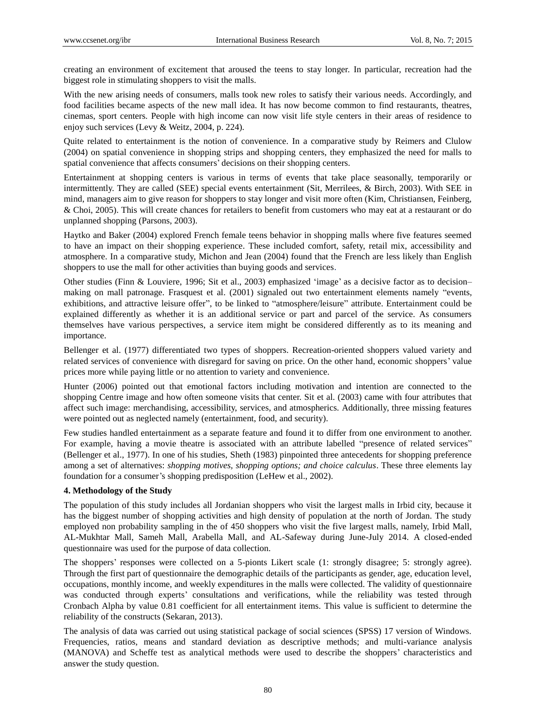creating an environment of excitement that aroused the teens to stay longer. In particular, recreation had the biggest role in stimulating shoppers to visit the malls.

With the new arising needs of consumers, malls took new roles to satisfy their various needs. Accordingly, and food facilities became aspects of the new mall idea. It has now become common to find restaurants, theatres, cinemas, sport centers. People with high income can now visit life style centers in their areas of residence to enjoy such services (Levy & Weitz, 2004, p. 224).

Quite related to entertainment is the notion of convenience. In a comparative study by Reimers and Clulow (2004) on spatial convenience in shopping strips and shopping centers, they emphasized the need for malls to spatial convenience that affects consumers' decisions on their shopping centers.

Entertainment at shopping centers is various in terms of events that take place seasonally, temporarily or intermittently. They are called (SEE) special events entertainment (Sit, Merrilees, & Birch, 2003). With SEE in mind, managers aim to give reason for shoppers to stay longer and visit more often (Kim, Christiansen, Feinberg, & Choi, 2005). This will create chances for retailers to benefit from customers who may eat at a restaurant or do unplanned shopping (Parsons, 2003).

Haytko and Baker (2004) explored French female teens behavior in shopping malls where five features seemed to have an impact on their shopping experience. These included comfort, safety, retail mix, accessibility and atmosphere. In a comparative study, Michon and Jean (2004) found that the French are less likely than English shoppers to use the mall for other activities than buying goods and services.

Other studies (Finn & Louviere, 1996; Sit et al., 2003) emphasized "image" as a decisive factor as to decision– making on mall patronage. Frasquest et al. (2001) signaled out two entertainment elements namely "events, exhibitions, and attractive leisure offer", to be linked to "atmosphere/leisure" attribute. Entertainment could be explained differently as whether it is an additional service or part and parcel of the service. As consumers themselves have various perspectives, a service item might be considered differently as to its meaning and importance.

Bellenger et al. (1977) differentiated two types of shoppers. Recreation-oriented shoppers valued variety and related services of convenience with disregard for saving on price. On the other hand, economic shoppers" value prices more while paying little or no attention to variety and convenience.

Hunter (2006) pointed out that emotional factors including motivation and intention are connected to the shopping Centre image and how often someone visits that center. Sit et al. (2003) came with four attributes that affect such image: merchandising, accessibility, services, and atmospherics. Additionally, three missing features were pointed out as neglected namely (entertainment, food, and security).

Few studies handled entertainment as a separate feature and found it to differ from one environment to another. For example, having a movie theatre is associated with an attribute labelled "presence of related services" (Bellenger et al., 1977). In one of his studies, Sheth (1983) pinpointed three antecedents for shopping preference among a set of alternatives: *shopping motives, shopping options; and choice calculus*. These three elements lay foundation for a consumer's shopping predisposition (LeHew et al., 2002).

# **4. Methodology of the Study**

The population of this study includes all Jordanian shoppers who visit the largest malls in Irbid city, because it has the biggest number of shopping activities and high density of population at the north of Jordan. The study employed non probability sampling in the of 450 shoppers who visit the five largest malls, namely, Irbid Mall, AL-Mukhtar Mall, Sameh Mall, Arabella Mall, and AL-Safeway during June-July 2014. A closed-ended questionnaire was used for the purpose of data collection.

The shoppers" responses were collected on a 5-pionts Likert scale (1: strongly disagree; 5: strongly agree). Through the first part of questionnaire the demographic details of the participants as gender, age, education level, occupations, monthly income, and weekly expenditures in the malls were collected. The validity of questionnaire was conducted through experts" consultations and verifications, while the reliability was tested through Cronbach Alpha by value 0.81 coefficient for all entertainment items. This value is sufficient to determine the reliability of the constructs (Sekaran, 2013).

The analysis of data was carried out using statistical package of social sciences (SPSS) 17 version of Windows. Frequencies, ratios, means and standard deviation as descriptive methods; and multi-variance analysis (MANOVA) and Scheffe test as analytical methods were used to describe the shoppers" characteristics and answer the study question.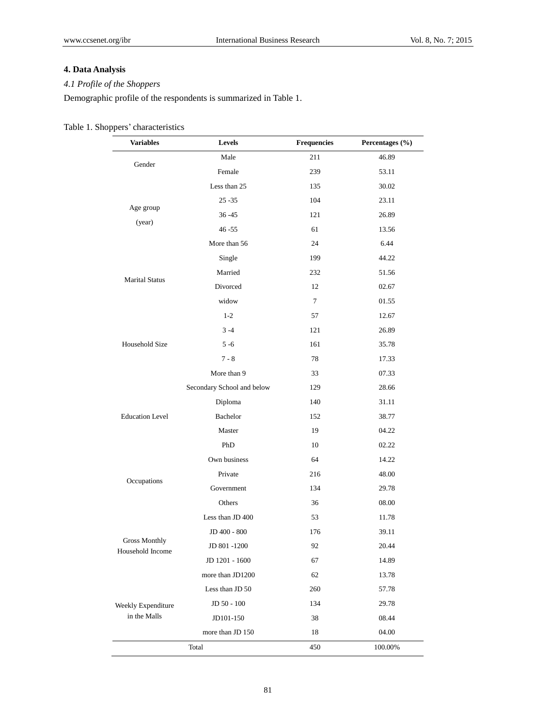# **4. Data Analysis**

# *4.1 Profile of the Shoppers*

Demographic profile of the respondents is summarized in Table 1.

# Table 1. Shoppers' characteristics

| <b>Variables</b>       | Levels                     | <b>Frequencies</b> | Percentages (%) |
|------------------------|----------------------------|--------------------|-----------------|
|                        | Male                       | 211                | 46.89           |
| Gender                 | Female                     | 239                | 53.11           |
|                        | Less than 25               | 135                | 30.02           |
|                        | $25 - 35$                  | 104                | 23.11           |
| Age group              | $36 - 45$                  | 121                | 26.89           |
| (year)                 | $46 - 55$                  | 61                 | 13.56           |
|                        | More than 56               | 24                 | 6.44            |
|                        | Single                     | 199                | 44.22           |
|                        | Married                    | 232                | 51.56           |
| <b>Marital Status</b>  | Divorced                   | 12                 | 02.67           |
|                        | widow                      | $\tau$             | 01.55           |
|                        | $1 - 2$                    | 57                 | 12.67           |
|                        | $3 - 4$                    | 121                | 26.89           |
| Household Size         | $5 - 6$                    | 161                | 35.78           |
|                        | $7 - 8$                    | 78                 | 17.33           |
|                        | More than 9                | 33                 | 07.33           |
|                        | Secondary School and below | 129                | 28.66           |
|                        | Diploma                    | 140                | 31.11           |
| <b>Education Level</b> | Bachelor                   | 152                | 38.77           |
|                        | Master                     | 19                 | 04.22           |
|                        | PhD                        | 10                 | 02.22           |
|                        | Own business               | 64                 | 14.22           |
|                        | Private                    | 216                | 48.00           |
| Occupations            | Government                 | 134                | 29.78           |
|                        | Others                     | 36                 | 08.00           |
|                        | Less than JD 400           | 53                 | 11.78           |
|                        | JD 400 - 800               | 176                | 39.11           |
| <b>Gross Monthly</b>   | JD 801-1200                | 92                 | 20.44           |
| Household Income       | JD 1201 - 1600             | 67                 | 14.89           |
|                        | more than JD1200           | 62                 | 13.78           |
|                        | Less than JD 50            | 260                | 57.78           |
| Weekly Expenditure     | JD 50 - 100                | 134                | 29.78           |
| in the Malls           | JD101-150                  | 38                 | 08.44           |
|                        | more than JD 150           | 18                 | 04.00           |
|                        | Total                      | 450                | 100.00%         |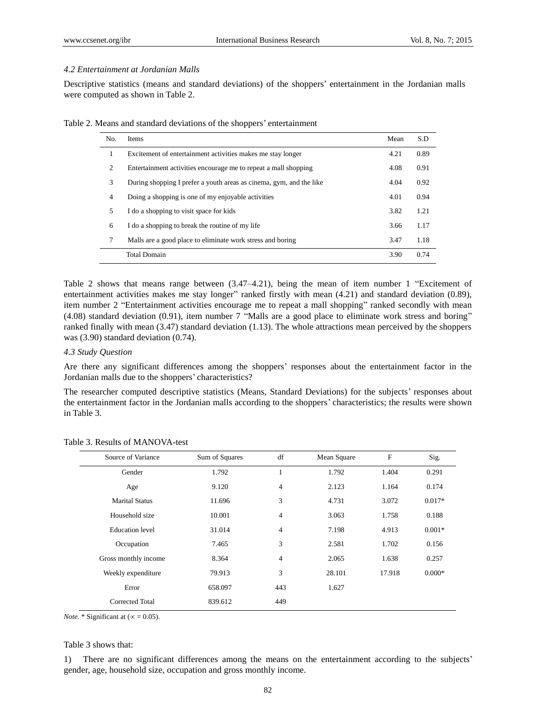# *4.2 Entertainment at Jordanian Malls*

Descriptive statistics (means and standard deviations) of the shoppers" entertainment in the Jordanian malls were computed as shown in Table 2.

| Table 2. Means and standard deviations of the shoppers' entertainment |
|-----------------------------------------------------------------------|
|-----------------------------------------------------------------------|

| No.            | <b>Items</b>                                                        | Mean | S.D  |
|----------------|---------------------------------------------------------------------|------|------|
| 1              | Excitement of entertainment activities makes me stay longer         | 4.21 | 0.89 |
| 2              | Entertainment activities encourage me to repeat a mall shopping     | 4.08 | 0.91 |
| 3              | During shopping I prefer a youth areas as cinema, gym, and the like | 4.04 | 0.92 |
| $\overline{4}$ | Doing a shopping is one of my enjoyable activities                  | 4.01 | 0.94 |
| 5              | I do a shopping to visit space for kids                             | 3.82 | 1.21 |
| 6              | I do a shopping to break the routine of my life                     | 3.66 | 1.17 |
| 7              | Malls are a good place to eliminate work stress and boring          | 3.47 | 1.18 |
|                | <b>Total Domain</b>                                                 | 3.90 | 0.74 |

Table 2 shows that means range between (3.47–4.21), being the mean of item number 1 "Excitement of entertainment activities makes me stay longer" ranked firstly with mean (4.21) and standard deviation (0.89), item number 2 "Entertainment activities encourage me to repeat a mall shopping" ranked secondly with mean (4.08) standard deviation (0.91), item number 7 "Malls are a good place to eliminate work stress and boring" ranked finally with mean (3.47) standard deviation (1.13). The whole attractions mean perceived by the shoppers was (3.90) standard deviation (0.74).

### *4.3 Study Question*

Are there any significant differences among the shoppers' responses about the entertainment factor in the Jordanian malls due to the shoppers' characteristics?

The researcher computed descriptive statistics (Means, Standard Deviations) for the subjects' responses about the entertainment factor in the Jordanian malls according to the shoppers" characteristics; the results were shown in Table 3.

| Source of Variance    | Sum of Squares | df             | Mean Square | F      | Sig.     |
|-----------------------|----------------|----------------|-------------|--------|----------|
| Gender                | 1.792          | 1              | 1.792       | 1.404  | 0.291    |
| Age                   | 9.120          | $\overline{4}$ | 2.123       | 1.164  | 0.174    |
| <b>Marital Status</b> | 11.696         | 3              | 4.731       | 3.072  | $0.017*$ |
| Household size        | 10.001         | $\overline{4}$ | 3.063       | 1.758  | 0.188    |
| Education level       | 31.014         | $\overline{4}$ | 7.198       | 4.913  | $0.001*$ |
| Occupation            | 7.465          | 3              | 2.581       | 1.702  | 0.156    |
| Gross monthly income  | 8.364          | $\overline{4}$ | 2.065       | 1.638  | 0.257    |
| Weekly expenditure    | 79.913         | 3              | 28.101      | 17.918 | $0.000*$ |
| Error                 | 658.097        | 443            | 1.627       |        |          |
| Corrected Total       | 839.612        | 449            |             |        |          |

Table 3. Results of MANOVA-test

*Note.* \* Significant at ( $\infty$  = 0.05).

### Table 3 shows that:

1) There are no significant differences among the means on the entertainment according to the subjects" gender, age, household size, occupation and gross monthly income.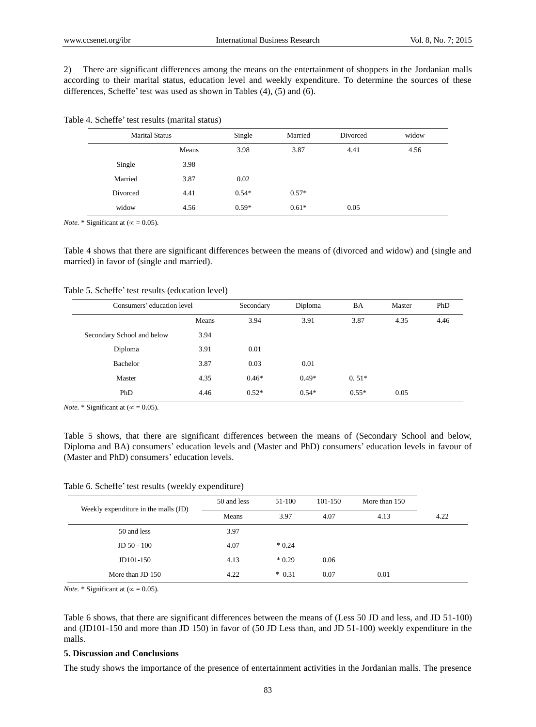2) There are significant differences among the means on the entertainment of shoppers in the Jordanian malls according to their marital status, education level and weekly expenditure. To determine the sources of these differences, Scheffe' test was used as shown in Tables  $(4)$ ,  $(5)$  and  $(6)$ .

| Table 4. Scheffe' test results (marital status) |  |  |  |
|-------------------------------------------------|--|--|--|
|-------------------------------------------------|--|--|--|

| <b>Marital Status</b> |       | Single  | Married | Divorced | widow |
|-----------------------|-------|---------|---------|----------|-------|
|                       | Means | 3.98    | 3.87    | 4.41     | 4.56  |
| Single                | 3.98  |         |         |          |       |
| Married               | 3.87  | 0.02    |         |          |       |
| Divorced              | 4.41  | $0.54*$ | $0.57*$ |          |       |
| widow                 | 4.56  | $0.59*$ | $0.61*$ | 0.05     |       |

*Note.* \* Significant at ( $\infty$  = 0.05).

Table 4 shows that there are significant differences between the means of (divorced and widow) and (single and married) in favor of (single and married).

Table 5. Scheffe' test results (education level)

| Consumers' education level |       | Secondary | Diploma | BA      | Master | PhD  |
|----------------------------|-------|-----------|---------|---------|--------|------|
|                            | Means | 3.94      | 3.91    | 3.87    | 4.35   | 4.46 |
| Secondary School and below | 3.94  |           |         |         |        |      |
| Diploma                    | 3.91  | 0.01      |         |         |        |      |
| Bachelor                   | 3.87  | 0.03      | 0.01    |         |        |      |
| Master                     | 4.35  | $0.46*$   | $0.49*$ | $0.51*$ |        |      |
| PhD                        | 4.46  | $0.52*$   | $0.54*$ | $0.55*$ | 0.05   |      |

*Note.* \* Significant at ( $\infty$  = 0.05).

Table 5 shows, that there are significant differences between the means of (Secondary School and below, Diploma and BA) consumers' education levels and (Master and PhD) consumers' education levels in favour of (Master and PhD) consumers' education levels.

| Table 6. Scheffe' test results (weekly expenditure) |  |  |  |
|-----------------------------------------------------|--|--|--|
|-----------------------------------------------------|--|--|--|

| Weekly expenditure in the malls (JD) | 50 and less | 51-100   | 101-150 | More than 150 |      |
|--------------------------------------|-------------|----------|---------|---------------|------|
|                                      | Means       | 3.97     | 4.07    | 4.13          | 4.22 |
| 50 and less                          | 3.97        |          |         |               |      |
| $JD 50 - 100$                        | 4.07        | $*0.24$  |         |               |      |
| JD101-150                            | 4.13        | $*0.29$  | 0.06    |               |      |
| More than JD 150                     | 4.22        | $* 0.31$ | 0.07    | 0.01          |      |

*Note.* \* Significant at ( $\infty$  = 0.05).

Table 6 shows, that there are significant differences between the means of (Less 50 JD and less, and JD 51-100) and (JD101-150 and more than JD 150) in favor of (50 JD Less than, and JD 51-100) weekly expenditure in the malls.

#### **5. Discussion and Conclusions**

The study shows the importance of the presence of entertainment activities in the Jordanian malls. The presence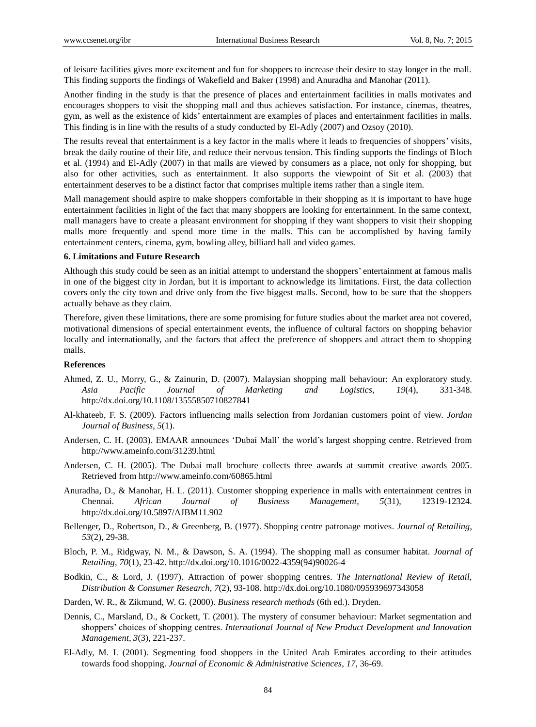of leisure facilities gives more excitement and fun for shoppers to increase their desire to stay longer in the mall. This finding supports the findings of Wakefield and Baker (1998) and Anuradha and Manohar (2011).

Another finding in the study is that the presence of places and entertainment facilities in malls motivates and encourages shoppers to visit the shopping mall and thus achieves satisfaction. For instance, cinemas, theatres, gym, as well as the existence of kids" entertainment are examples of places and entertainment facilities in malls. This finding is in line with the results of a study conducted by El-Adly (2007) and Ozsoy (2010).

The results reveal that entertainment is a key factor in the malls where it leads to frequencies of shoppers' visits, break the daily routine of their life, and reduce their nervous tension. This finding supports the findings of Bloch et al. (1994) and El-Adly (2007) in that malls are viewed by consumers as a place, not only for shopping, but also for other activities, such as entertainment. It also supports the viewpoint of Sit et al. (2003) that entertainment deserves to be a distinct factor that comprises multiple items rather than a single item.

Mall management should aspire to make shoppers comfortable in their shopping as it is important to have huge entertainment facilities in light of the fact that many shoppers are looking for entertainment. In the same context, mall managers have to create a pleasant environment for shopping if they want shoppers to visit their shopping malls more frequently and spend more time in the malls. This can be accomplished by having family entertainment centers, cinema, gym, bowling alley, billiard hall and video games.

### **6. Limitations and Future Research**

Although this study could be seen as an initial attempt to understand the shoppers' entertainment at famous malls in one of the biggest city in Jordan, but it is important to acknowledge its limitations. First, the data collection covers only the city town and drive only from the five biggest malls. Second, how to be sure that the shoppers actually behave as they claim.

Therefore, given these limitations, there are some promising for future studies about the market area not covered, motivational dimensions of special entertainment events, the influence of cultural factors on shopping behavior locally and internationally, and the factors that affect the preference of shoppers and attract them to shopping malls.

# **References**

- Ahmed, Z. U., Morry, G., & Zainurin, D. (2007). Malaysian shopping mall behaviour: An exploratory study. *Asia Pacific Journal of Marketing and Logistics, 19*(4), 331-348. http://dx.doi.org/10.1108/13555850710827841
- Al-khateeb, F. S. (2009). Factors influencing malls selection from Jordanian customers point of view. *Jordan Journal of Business, 5*(1).
- Andersen, C. H. (2003). EMAAR announces "Dubai Mall" the world"s largest shopping centre. Retrieved from http://www.ameinfo.com/31239.html
- Andersen, C. H. (2005). The Dubai mall brochure collects three awards at summit creative awards 2005. Retrieved from http://www.ameinfo.com/60865.html
- Anuradha, D., & Manohar, H. L. (2011). Customer shopping experience in malls with entertainment centres in Chennai. *African Journal of Business Management, 5*(31), 12319-12324. http://dx.doi.org/10.5897/AJBM11.902
- Bellenger, D., Robertson, D., & Greenberg, B. (1977). Shopping centre patronage motives. *Journal of Retailing*, *53*(2), 29-38.
- Bloch, P. M., Ridgway, N. M., & Dawson, S. A. (1994). The shopping mall as consumer habitat. *Journal of Retailing, 70*(1), 23-42. http://dx.doi.org/10.1016/0022-4359(94)90026-4
- Bodkin, C., & Lord, J. (1997). Attraction of power shopping centres. *The International Review of Retail, Distribution & Consumer Research, 7*(2), 93-108. http://dx.doi.org/10.1080/095939697343058
- Darden, W. R., & Zikmund, W. G. (2000). *Business research methods* (6th ed.). Dryden.
- Dennis, C., Marsland, D., & Cockett, T. (2001). The mystery of consumer behaviour: Market segmentation and shoppers" choices of shopping centres. *International Journal of New Product Development and Innovation Management, 3*(3), 221-237.
- El-Adly, M. I. (2001). Segmenting food shoppers in the United Arab Emirates according to their attitudes towards food shopping. *Journal of Economic & Administrative Sciences, 17*, 36-69.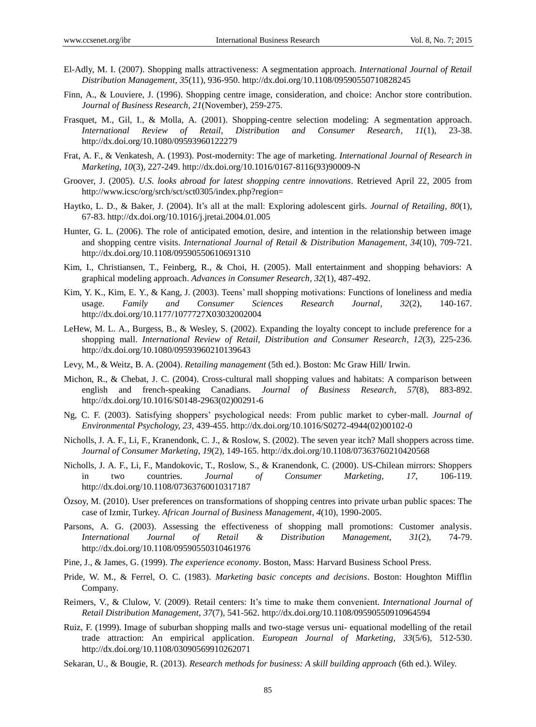- El-Adly, M. I. (2007). Shopping malls attractiveness: A segmentation approach. *International Journal of Retail Distribution Management, 35*(11), 936-950. http://dx.doi.org/10.1108/09590550710828245
- Finn, A., & Louviere, J. (1996). Shopping centre image, consideration, and choice: Anchor store contribution. *Journal of Business Research, 21*(November), 259-275.
- Frasquet, M., Gil, I., & Molla, A. (2001). Shopping-centre selection modeling: A segmentation approach. *International Review of Retail, Distribution and Consumer Research, 11*(1), 23-38. http://dx.doi.org/10.1080/09593960122279
- Frat, A. F., & Venkatesh, A. (1993). Post-modernity: The age of marketing. *International Journal of Research in Marketing, 10*(3), 227-249. http://dx.doi.org/10.1016/0167-8116(93)90009-N
- Groover, J. (2005). *U.S. looks abroad for latest shopping centre innovations*. Retrieved April 22, 2005 from http://www.icsc/org/srch/sct/sct0305/index.php?region=
- Haytko, L. D., & Baker, J. (2004). It"s all at the mall: Exploring adolescent girls. *Journal of Retailing, 80*(1), 67-83. http://dx.doi.org/10.1016/j.jretai.2004.01.005
- Hunter, G. L. (2006). The role of anticipated emotion, desire, and intention in the relationship between image and shopping centre visits. *International Journal of Retail & Distribution Management, 34*(10), 709-721. http://dx.doi.org/10.1108/09590550610691310
- Kim, I., Christiansen, T., Feinberg, R., & Choi, H. (2005). Mall entertainment and shopping behaviors: A graphical modeling approach. *Advances in Consumer Research, 32*(1), 487-492.
- Kim, Y. K., Kim, E. Y., & Kang, J. (2003). Teens" mall shopping motivations: Functions of loneliness and media usage. *Family and Consumer Sciences Research Journal, 32*(2), 140-167. http://dx.doi.org/10.1177/1077727X03032002004
- LeHew, M. L. A., Burgess, B., & Wesley, S. (2002). Expanding the loyalty concept to include preference for a shopping mall. *International Review of Retail, Distribution and Consumer Research, 12*(3), 225-236. http://dx.doi.org/10.1080/09593960210139643
- Levy, M., & Weitz, B. A. (2004). *Retailing management* (5th ed.). Boston: Mc Graw Hill/ Irwin.
- Michon, R., & Chebat, J. C. (2004). Cross-cultural mall shopping values and habitats: A comparison between english and french-speaking Canadians. *Journal of Business Research, 57*(8), 883-892. http://dx.doi.org/10.1016/S0148-2963(02)00291-6
- Ng, C. F. (2003). Satisfying shoppers" psychological needs: From public market to cyber-mall. *Journal of Environmental Psychology, 23*, 439-455. http://dx.doi.org/10.1016/S0272-4944(02)00102-0
- Nicholls, J. A. F., Li, F., Kranendonk, C. J., & Roslow, S. (2002). The seven year itch? Mall shoppers across time. *Journal of Consumer Marketing, 19*(2), 149-165. http://dx.doi.org/10.1108/07363760210420568
- Nicholls, J. A. F., Li, F., Mandokovic, T., Roslow, S., & Kranendonk, C. (2000). US-Chilean mirrors: Shoppers in two countries. *Journal of Consumer Marketing, 17*, 106-119. http://dx.doi.org/10.1108/07363760010317187
- Ö zsoy, M. (2010). User preferences on transformations of shopping centres into private urban public spaces: The case of Izmir, Turkey. *African Journal of Business Management, 4*(10), 1990-2005.
- Parsons, A. G. (2003). Assessing the effectiveness of shopping mall promotions: Customer analysis. *International Journal of Retail & Distribution Management, 31*(2), 74-79. http://dx.doi.org/10.1108/09590550310461976
- Pine, J., & James, G. (1999). *The experience economy*. Boston, Mass: Harvard Business School Press.
- Pride, W. M., & Ferrel, O. C. (1983). *Marketing basic concepts and decisions*. Boston: Houghton Mifflin Company.
- Reimers, V., & Clulow, V. (2009). Retail centers: It's time to make them convenient. *International Journal of Retail Distribution Management, 37*(7), 541-562. http://dx.doi.org/10.1108/09590550910964594
- Ruiz, F. (1999). Image of suburban shopping malls and two-stage versus uni- equational modelling of the retail trade attraction: An empirical application. *European Journal of Marketing, 33*(5/6), 512-530. http://dx.doi.org/10.1108/03090569910262071
- Sekaran, U., & Bougie, R. (2013). *Research methods for business: A skill building approach* (6th ed.). Wiley.